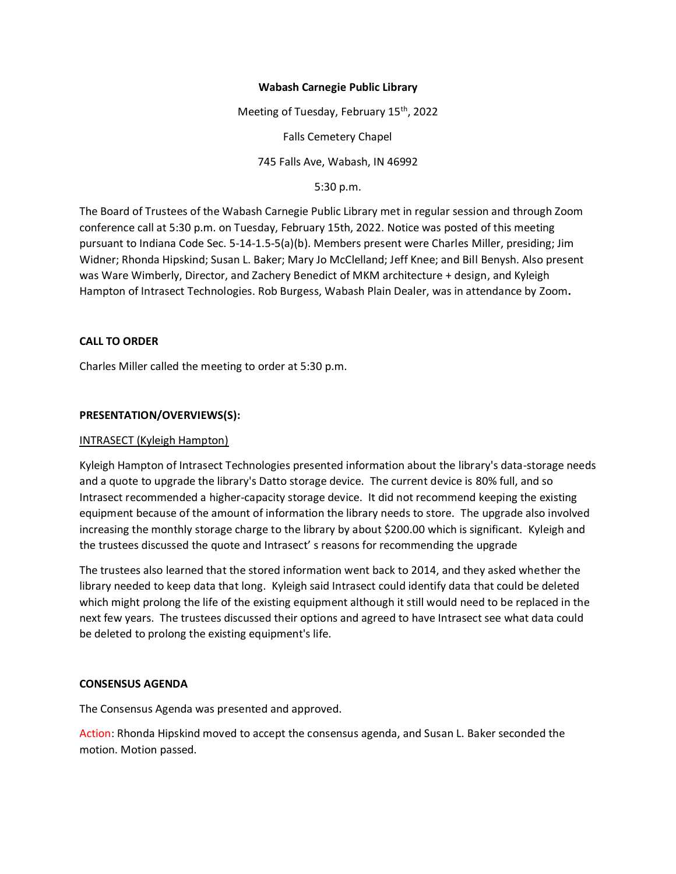## **Wabash Carnegie Public Library**

Meeting of Tuesday, February 15<sup>th</sup>, 2022 Falls Cemetery Chapel 745 Falls Ave, Wabash, IN 46992

5:30 p.m.

The Board of Trustees of the Wabash Carnegie Public Library met in regular session and through Zoom conference call at 5:30 p.m. on Tuesday, February 15th, 2022. Notice was posted of this meeting pursuant to Indiana Code Sec. 5-14-1.5-5(a)(b). Members present were Charles Miller, presiding; Jim Widner; Rhonda Hipskind; Susan L. Baker; Mary Jo McClelland; Jeff Knee; and Bill Benysh. Also present was Ware Wimberly, Director, and Zachery Benedict of MKM architecture + design, and Kyleigh Hampton of Intrasect Technologies. Rob Burgess, Wabash Plain Dealer, was in attendance by Zoom**.**

# **CALL TO ORDER**

Charles Miller called the meeting to order at 5:30 p.m.

# **PRESENTATION/OVERVIEWS(S):**

## INTRASECT (Kyleigh Hampton)

Kyleigh Hampton of Intrasect Technologies presented information about the library's data-storage needs and a quote to upgrade the library's Datto storage device. The current device is 80% full, and so Intrasect recommended a higher-capacity storage device. It did not recommend keeping the existing equipment because of the amount of information the library needs to store. The upgrade also involved increasing the monthly storage charge to the library by about \$200.00 which is significant. Kyleigh and the trustees discussed the quote and Intrasect' s reasons for recommending the upgrade

The trustees also learned that the stored information went back to 2014, and they asked whether the library needed to keep data that long. Kyleigh said Intrasect could identify data that could be deleted which might prolong the life of the existing equipment although it still would need to be replaced in the next few years. The trustees discussed their options and agreed to have Intrasect see what data could be deleted to prolong the existing equipment's life.

### **CONSENSUS AGENDA**

The Consensus Agenda was presented and approved.

Action: Rhonda Hipskind moved to accept the consensus agenda, and Susan L. Baker seconded the motion. Motion passed.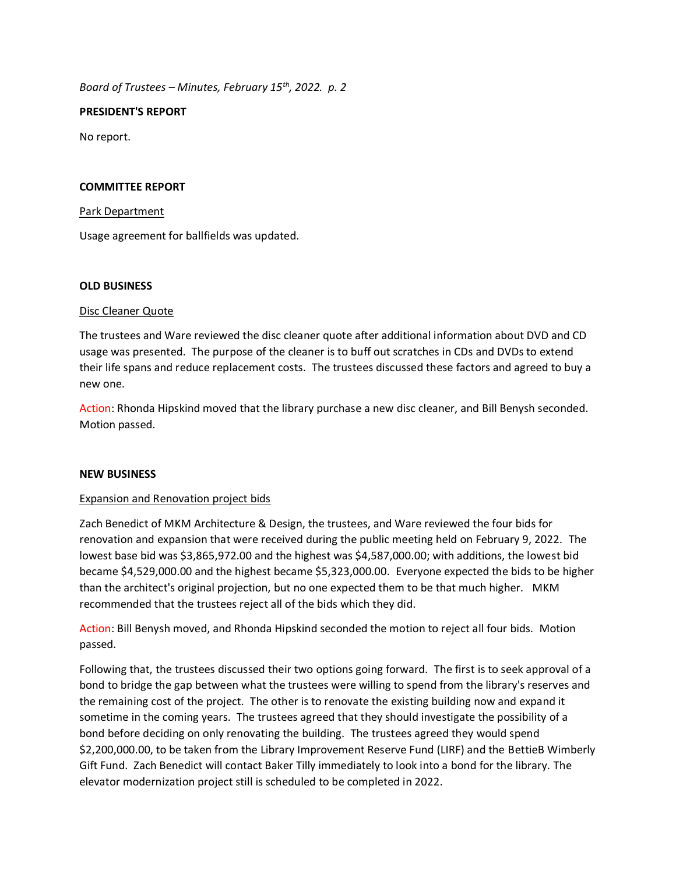*Board of Trustees – Minutes, February 15th, 2022. p. 2*

## **PRESIDENT'S REPORT**

No report.

## **COMMITTEE REPORT**

## Park Department

Usage agreement for ballfields was updated.

### **OLD BUSINESS**

# Disc Cleaner Quote

The trustees and Ware reviewed the disc cleaner quote after additional information about DVD and CD usage was presented. The purpose of the cleaner is to buff out scratches in CDs and DVDs to extend their life spans and reduce replacement costs. The trustees discussed these factors and agreed to buy a new one.

Action: Rhonda Hipskind moved that the library purchase a new disc cleaner, and Bill Benysh seconded. Motion passed.

### **NEW BUSINESS**

# Expansion and Renovation project bids

Zach Benedict of MKM Architecture & Design, the trustees, and Ware reviewed the four bids for renovation and expansion that were received during the public meeting held on February 9, 2022. The lowest base bid was \$3,865,972.00 and the highest was \$4,587,000.00; with additions, the lowest bid became \$4,529,000.00 and the highest became \$5,323,000.00. Everyone expected the bids to be higher than the architect's original projection, but no one expected them to be that much higher. MKM recommended that the trustees reject all of the bids which they did.

Action: Bill Benysh moved, and Rhonda Hipskind seconded the motion to reject all four bids. Motion passed.

Following that, the trustees discussed their two options going forward. The first is to seek approval of a bond to bridge the gap between what the trustees were willing to spend from the library's reserves and the remaining cost of the project. The other is to renovate the existing building now and expand it sometime in the coming years. The trustees agreed that they should investigate the possibility of a bond before deciding on only renovating the building. The trustees agreed they would spend \$2,200,000.00, to be taken from the Library Improvement Reserve Fund (LIRF) and the BettieB Wimberly Gift Fund. Zach Benedict will contact Baker Tilly immediately to look into a bond for the library. The elevator modernization project still is scheduled to be completed in 2022.